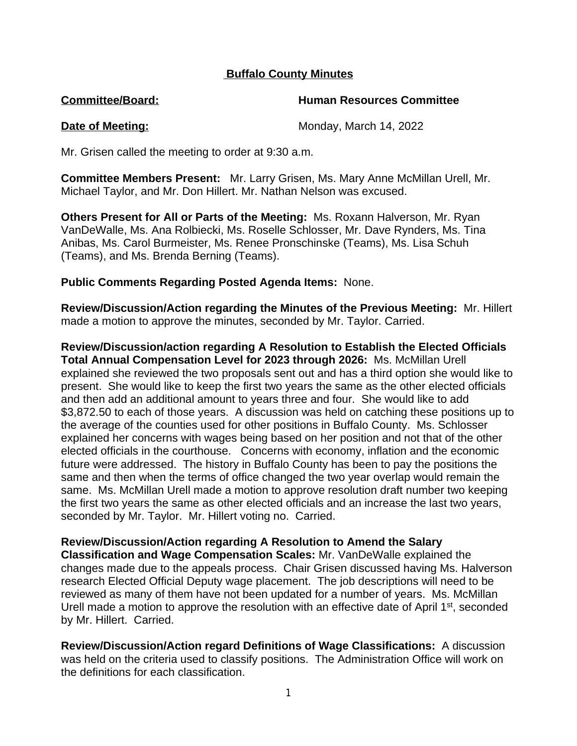# **Buffalo County Minutes**

**Committee/Board: Human Resources Committee**

**Date of Meeting:** Monday, March 14, 2022

Mr. Grisen called the meeting to order at 9:30 a.m.

**Committee Members Present:** Mr. Larry Grisen, Ms. Mary Anne McMillan Urell, Mr. Michael Taylor, and Mr. Don Hillert. Mr. Nathan Nelson was excused.

**Others Present for All or Parts of the Meeting:** Ms. Roxann Halverson, Mr. Ryan VanDeWalle, Ms. Ana Rolbiecki, Ms. Roselle Schlosser, Mr. Dave Rynders, Ms. Tina Anibas, Ms. Carol Burmeister, Ms. Renee Pronschinske (Teams), Ms. Lisa Schuh (Teams), and Ms. Brenda Berning (Teams).

**Public Comments Regarding Posted Agenda Items:** None.

**Review/Discussion/Action regarding the Minutes of the Previous Meeting:** Mr. Hillert made a motion to approve the minutes, seconded by Mr. Taylor. Carried.

**Review/Discussion/action regarding A Resolution to Establish the Elected Officials Total Annual Compensation Level for 2023 through 2026:** Ms. McMillan Urell explained she reviewed the two proposals sent out and has a third option she would like to present. She would like to keep the first two years the same as the other elected officials and then add an additional amount to years three and four. She would like to add \$3,872.50 to each of those years. A discussion was held on catching these positions up to the average of the counties used for other positions in Buffalo County. Ms. Schlosser explained her concerns with wages being based on her position and not that of the other elected officials in the courthouse. Concerns with economy, inflation and the economic future were addressed. The history in Buffalo County has been to pay the positions the same and then when the terms of office changed the two year overlap would remain the same. Ms. McMillan Urell made a motion to approve resolution draft number two keeping the first two years the same as other elected officials and an increase the last two years, seconded by Mr. Taylor. Mr. Hillert voting no. Carried.

# **Review/Discussion/Action regarding A Resolution to Amend the Salary**

**Classification and Wage Compensation Scales:** Mr. VanDeWalle explained the changes made due to the appeals process. Chair Grisen discussed having Ms. Halverson research Elected Official Deputy wage placement. The job descriptions will need to be reviewed as many of them have not been updated for a number of years. Ms. McMillan Urell made a motion to approve the resolution with an effective date of April 1<sup>st</sup>, seconded by Mr. Hillert. Carried.

**Review/Discussion/Action regard Definitions of Wage Classifications:** A discussion was held on the criteria used to classify positions. The Administration Office will work on the definitions for each classification.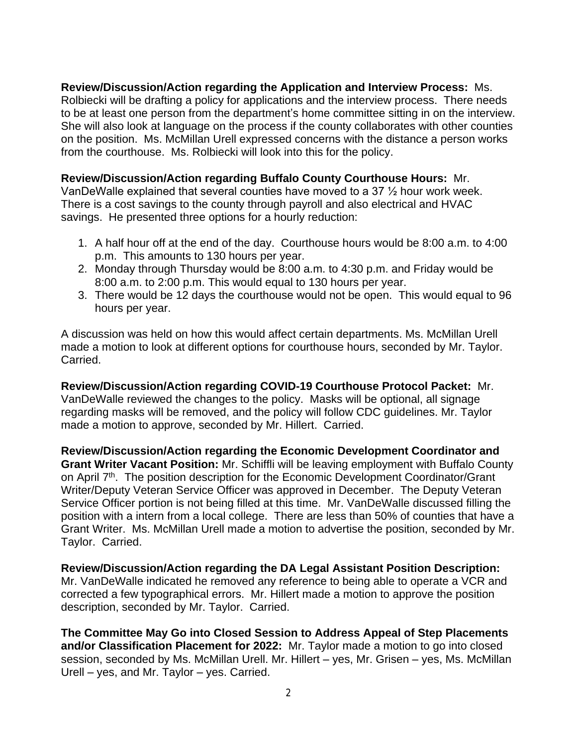**Review/Discussion/Action regarding the Application and Interview Process:** Ms. Rolbiecki will be drafting a policy for applications and the interview process. There needs to be at least one person from the department's home committee sitting in on the interview. She will also look at language on the process if the county collaborates with other counties on the position. Ms. McMillan Urell expressed concerns with the distance a person works from the courthouse. Ms. Rolbiecki will look into this for the policy.

## **Review/Discussion/Action regarding Buffalo County Courthouse Hours:** Mr.

VanDeWalle explained that several counties have moved to a 37 ½ hour work week. There is a cost savings to the county through payroll and also electrical and HVAC savings. He presented three options for a hourly reduction:

- 1. A half hour off at the end of the day. Courthouse hours would be 8:00 a.m. to 4:00 p.m. This amounts to 130 hours per year.
- 2. Monday through Thursday would be 8:00 a.m. to 4:30 p.m. and Friday would be 8:00 a.m. to 2:00 p.m. This would equal to 130 hours per year.
- 3. There would be 12 days the courthouse would not be open. This would equal to 96 hours per year.

A discussion was held on how this would affect certain departments. Ms. McMillan Urell made a motion to look at different options for courthouse hours, seconded by Mr. Taylor. Carried.

**Review/Discussion/Action regarding COVID-19 Courthouse Protocol Packet:** Mr. VanDeWalle reviewed the changes to the policy. Masks will be optional, all signage regarding masks will be removed, and the policy will follow CDC guidelines. Mr. Taylor made a motion to approve, seconded by Mr. Hillert. Carried.

**Review/Discussion/Action regarding the Economic Development Coordinator and Grant Writer Vacant Position:** Mr. Schiffli will be leaving employment with Buffalo County on April 7<sup>th</sup>. The position description for the Economic Development Coordinator/Grant Writer/Deputy Veteran Service Officer was approved in December. The Deputy Veteran Service Officer portion is not being filled at this time. Mr. VanDeWalle discussed filling the position with a intern from a local college. There are less than 50% of counties that have a Grant Writer. Ms. McMillan Urell made a motion to advertise the position, seconded by Mr. Taylor. Carried.

**Review/Discussion/Action regarding the DA Legal Assistant Position Description:** Mr. VanDeWalle indicated he removed any reference to being able to operate a VCR and corrected a few typographical errors. Mr. Hillert made a motion to approve the position description, seconded by Mr. Taylor. Carried.

**The Committee May Go into Closed Session to Address Appeal of Step Placements and/or Classification Placement for 2022:** Mr. Taylor made a motion to go into closed session, seconded by Ms. McMillan Urell. Mr. Hillert – yes, Mr. Grisen – yes, Ms. McMillan Urell – yes, and Mr. Taylor – yes. Carried.